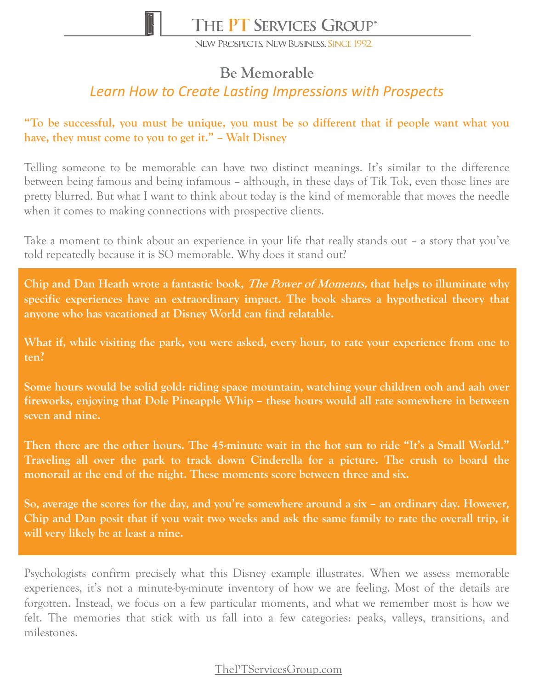

NEW PROSPECTS. NEW BUSINESS, SINCE 1992.

# **Be Memorable**

# *Learn How to Create Lasting Impressions with Prospects*

### **"To be successful, you must be unique, you must be so different that if people want what you have, they must come to you to get it." – Walt Disney**

Telling someone to be memorable can have two distinct meanings. It's similar to the difference between being famous and being infamous – although, in these days of Tik Tok, even those lines are pretty blurred. But what I want to think about today is the kind of memorable that moves the needle when it comes to making connections with prospective clients.

Take a moment to think about an experience in your life that really stands out – a story that you've told repeatedly because it is SO memorable. Why does it stand out?

**Chip and Dan Heath wrote a fantastic book, The Power of Moments, that helps to illuminate why specific experiences have an extraordinary impact. The book shares a hypothetical theory that anyone who has vacationed at Disney World can find relatable.**

**What if, while visiting the park, you were asked, every hour, to rate your experience from one to ten?**

**Some hours would be solid gold: riding space mountain, watching your children ooh and aah over fireworks, enjoying that Dole Pineapple Whip – these hours would all rate somewhere in between seven and nine.**

Then there are the other hours. The 45-minute wait in the hot sun to ride "It's a Small World." **Traveling all over the park to track down Cinderella for a picture. The crush to board the monorail at the end of the night. These moments score between three and six.**

**So, average the scores for the day, and you're somewhere around a six – an ordinary day. However,** Chip and Dan posit that if you wait two weeks and ask the same family to rate the overall trip, it **will very likely be at least a nine.**

Psychologists confirm precisely what this Disney example illustrates. When we assess memorable experiences, it's not a minute-by-minute inventory of how we are feeling. Most of the details are forgotten. Instead, we focus on a few particular moments, and what we remember most is how we felt. The memories that stick with us fall into a few categories: peaks, valleys, transitions, and milestones.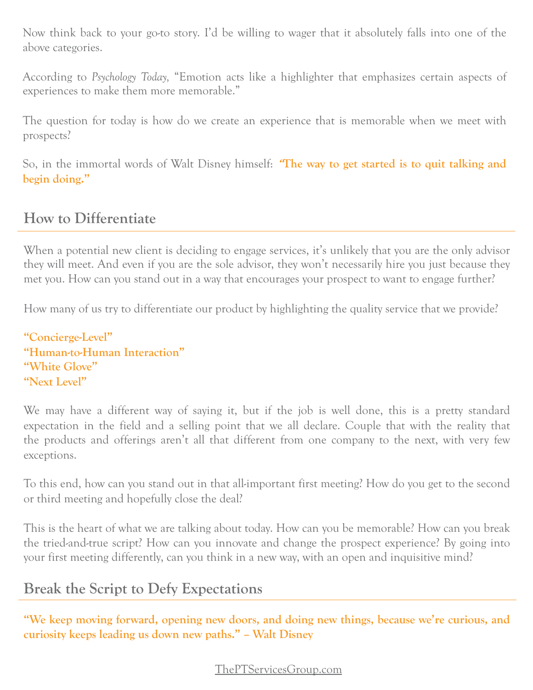Now think back to your go-to story. I'd be willing to wager that it absolutely falls into one of the above categories.

According to *Psychology Today,* "Emotion acts like a highlighter that emphasizes certain aspects of experiences to make them more memorable."

The question for today is how do we create an experience that is memorable when we meet with prospects?

So, in the immortal words of Walt Disney himself: **"The way to get started is to quit talking and begin doing."**

# **How to Differentiate**

When a potential new client is deciding to engage services, it's unlikely that you are the only advisor they will meet. And even if you are the sole advisor, they won't necessarily hire you just because they met you. How can you stand out in a way that encourages your prospect to want to engage further?

How many of us try to differentiate our product by highlighting the quality service that we provide?

```
"Concierge-Level"
"Human-to-Human Interaction"
"White Glove"
"Next Level"
```
We may have a different way of saying it, but if the job is well done, this is a pretty standard expectation in the field and a selling point that we all declare. Couple that with the reality that the products and offerings aren't all that different from one company to the next, with very few exceptions.

To this end, how can you stand out in that all-important first meeting? How do you get to the second or third meeting and hopefully close the deal?

This is the heart of what we are talking about today. How can you be memorable? How can you break the tried-and-true script? How can you innovate and change the prospect experience? By going into your first meeting differently, can you think in a new way, with an open and inquisitive mind?

## **Break the Script to Defy Expectations**

**"We keep moving forward, opening new doors, and doing new things, because we're curious, and curiosity keeps leading us down new paths." – Walt Disney**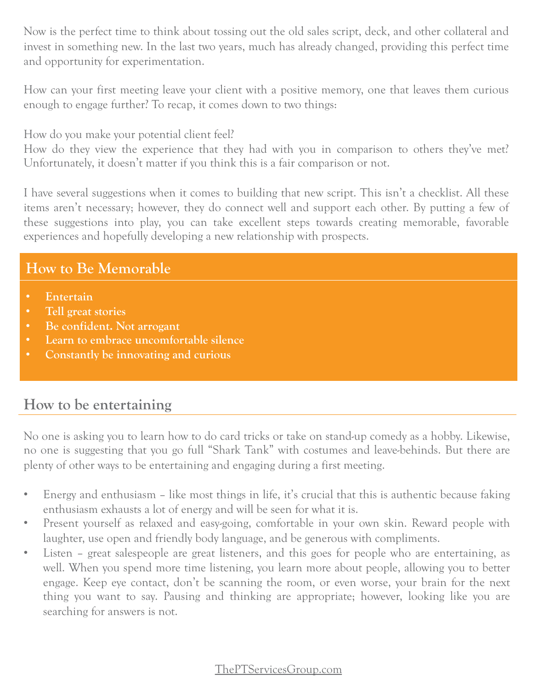Now is the perfect time to think about tossing out the old sales script, deck, and other collateral and invest in something new. In the last two years, much has already changed, providing this perfect time and opportunity for experimentation.

How can your first meeting leave your client with a positive memory, one that leaves them curious enough to engage further? To recap, it comes down to two things:

How do you make your potential client feel?

How do they view the experience that they had with you in comparison to others they've met? Unfortunately, it doesn't matter if you think this is a fair comparison or not.

I have several suggestions when it comes to building that new script. This isn't a checklist. All these items aren't necessary; however, they do connect well and support each other. By putting a few of these suggestions into play, you can take excellent steps towards creating memorable, favorable experiences and hopefully developing a new relationship with prospects.

# **How to Be Memorable**

- **Entertain**
- **Tell great stories**
- **Be confident. Not arrogant**
- **Learn to embrace uncomfortable silence**
- **Constantly be innovating and curious**

## **How to be entertaining**

No one is asking you to learn how to do card tricks or take on stand-up comedy as a hobby. Likewise, no one is suggesting that you go full "Shark Tank" with costumes and leave-behinds. But there are plenty of other ways to be entertaining and engaging during a first meeting.

- Energy and enthusiasm like most things in life, it's crucial that this is authentic because faking enthusiasm exhausts a lot of energy and will be seen for what it is.
- Present yourself as relaxed and easy-going, comfortable in your own skin. Reward people with laughter, use open and friendly body language, and be generous with compliments.
- Listen great salespeople are great listeners, and this goes for people who are entertaining, as well. When you spend more time listening, you learn more about people, allowing you to better engage. Keep eye contact, don't be scanning the room, or even worse, your brain for the next thing you want to say. Pausing and thinking are appropriate; however, looking like you are searching for answers is not.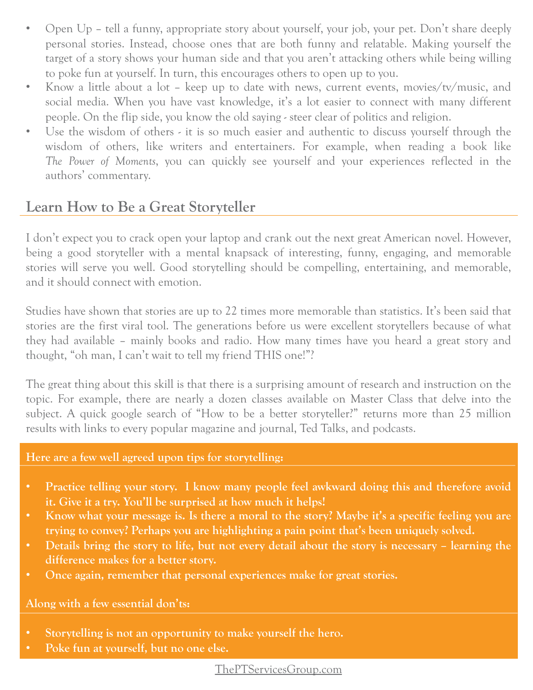- Open Up tell a funny, appropriate story about yourself, your job, your pet. Don't share deeply personal stories. Instead, choose ones that are both funny and relatable. Making yourself the target of a story shows your human side and that you aren't attacking others while being willing to poke fun at yourself. In turn, this encourages others to open up to you.
- Know a little about a lot keep up to date with news, current events, movies/tv/music, and social media. When you have vast knowledge, it's a lot easier to connect with many different people. On the flip side, you know the old saying - steer clear of politics and religion.
- Use the wisdom of others it is so much easier and authentic to discuss yourself through the wisdom of others, like writers and entertainers. For example, when reading a book like *The Power of Moments*, you can quickly see yourself and your experiences reflected in the authors' commentary.

## **Learn How to Be a Great Storyteller**

I don't expect you to crack open your laptop and crank out the next great American novel. However, being a good storyteller with a mental knapsack of interesting, funny, engaging, and memorable stories will serve you well. Good storytelling should be compelling, entertaining, and memorable, and it should connect with emotion.

Studies have shown that stories are up to 22 times more memorable than statistics. It's been said that stories are the first viral tool. The generations before us were excellent storytellers because of what they had available – mainly books and radio. How many times have you heard a great story and thought, "oh man, I can't wait to tell my friend THIS one!"?

The great thing about this skill is that there is a surprising amount of research and instruction on the topic. For example, there are nearly a dozen classes available on Master Class that delve into the subject. A quick google search of "How to be a better storyteller?" returns more than 25 million results with links to every popular magazine and journal, Ted Talks, and podcasts.

#### **Here are a few well agreed upon tips for storytelling:**

- **Practice telling your story. I know many people feel awkward doing this and therefore avoid it. Give it a try. You'll be surprised at how much it helps!**
- Know what your message is. Is there a moral to the story? Maybe it's a specific feeling you are **trying to convey? Perhaps you are highlighting a pain point that's been uniquely solved.**
- Details bring the story to life, but not every detail about the story is necessary learning the **difference makes for a better story.**
- **Once again, remember that personal experiences make for great stories.**

**Along with a few essential don'ts:**

- **Storytelling is not an opportunity to make yourself the hero.**
- **Poke fun at yourself, but no one else.**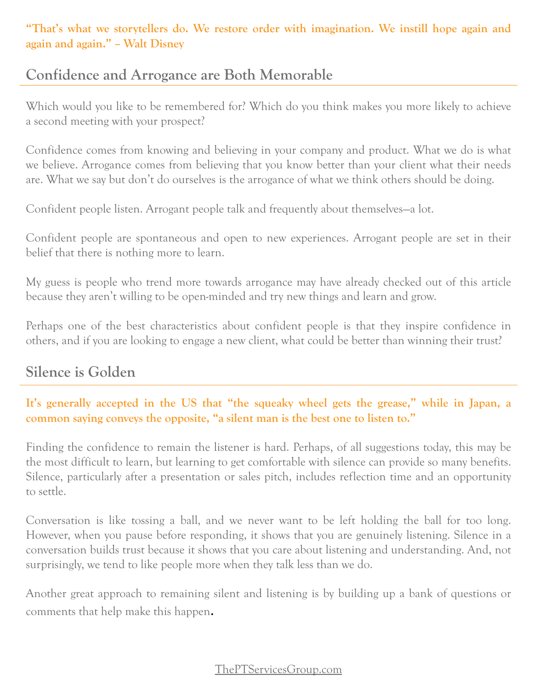**"That's what we storytellers do. We restore order with imagination. We instill hope again and again and again." – Walt Disney**

# **Confidence and Arrogance are Both Memorable**

Which would you like to be remembered for? Which do you think makes you more likely to achieve a second meeting with your prospect?

Confidence comes from knowing and believing in your company and product. What we do is what we believe. Arrogance comes from believing that you know better than your client what their needs are. What we say but don't do ourselves is the arrogance of what we think others should be doing.

Confident people listen. Arrogant people talk and frequently about themselves—a lot.

Confident people are spontaneous and open to new experiences. Arrogant people are set in their belief that there is nothing more to learn.

My guess is people who trend more towards arrogance may have already checked out of this article because they aren't willing to be open-minded and try new things and learn and grow.

Perhaps one of the best characteristics about confident people is that they inspire confidence in others, and if you are looking to engage a new client, what could be better than winning their trust?

# **Silence is Golden**

### **It's generally accepted in the US that "the squeaky wheel gets the grease," while in Japan, a common saying conveys the opposite, "a silent man is the best one to listen to."**

Finding the confidence to remain the listener is hard. Perhaps, of all suggestions today, this may be the most difficult to learn, but learning to get comfortable with silence can provide so many benefits. Silence, particularly after a presentation or sales pitch, includes reflection time and an opportunity to settle.

Conversation is like tossing a ball, and we never want to be left holding the ball for too long. However, when you pause before responding, it shows that you are genuinely listening. Silence in a conversation builds trust because it shows that you care about listening and understanding. And, not surprisingly, we tend to like people more when they talk less than we do.

Another great approach to remaining silent and listening is by building up a bank of questions or comments that help make this happen.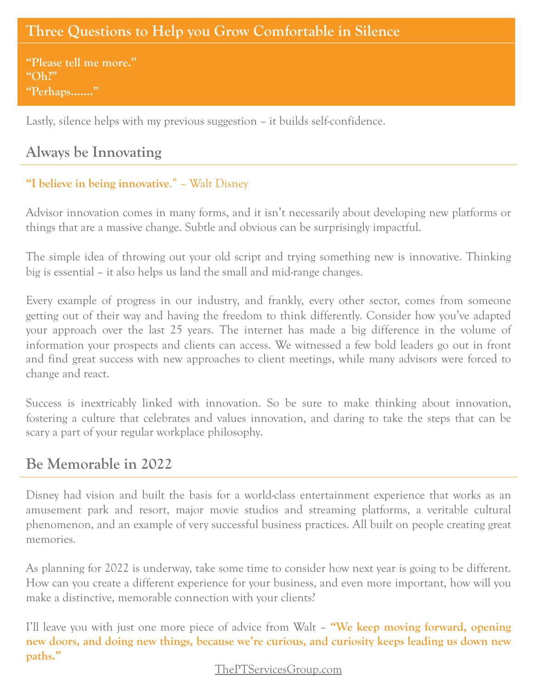# **Three Questions to Help you Grow Comfortable in Silence**

**"Please tell me more." "Oh?" "Perhaps……."**

Lastly, silence helps with my previous suggestion – it builds self-confidence.

# **Always be Innovating**

### **"I believe in being innovative**." – Walt Disney

Advisor innovation comes in many forms, and it isn't necessarily about developing new platforms or things that are a massive change. Subtle and obvious can be surprisingly impactful.

The simple idea of throwing out your old script and trying something new is innovative. Thinking big is essential – it also helps us land the small and mid-range changes.

Every example of progress in our industry, and frankly, every other sector, comes from someone getting out of their way and having the freedom to think differently. Consider how you've adapted your approach over the last 25 years. The internet has made a big difference in the volume of information your prospects and clients can access. We witnessed a few bold leaders go out in front and find great success with new approaches to client meetings, while many advisors were forced to change and react.

Success is inextricably linked with innovation. So be sure to make thinking about innovation, fostering a culture that celebrates and values innovation, and daring to take the steps that can be scary a part of your regular workplace philosophy.

## **Be Memorable in 2022**

Disney had vision and built the basis for a world-class entertainment experience that works as an amusement park and resort, major movie studios and streaming platforms, a veritable cultural phenomenon, and an example of very successful business practices. All built on people creating great memories.

As planning for 2022 is underway, take some time to consider how next year is going to be different. How can you create a different experience for your business, and even more important, how will you make a distinctive, memorable connection with your clients?

I'll leave you with just one more piece of advice from Walt – **"We keep moving forward, opening new doors, and doing new things, because we're curious, and curiosity keeps leading us down new paths."**